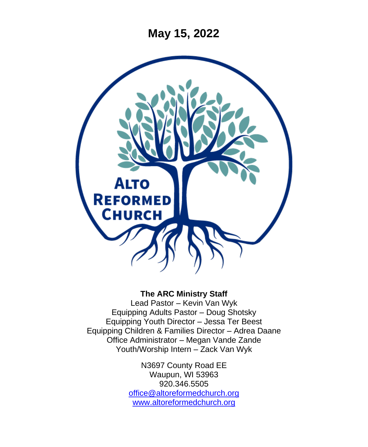**May 15, 2022**



#### **The ARC Ministry Staff**

Lead Pastor – Kevin Van Wyk Equipping Adults Pastor – Doug Shotsky Equipping Youth Director – Jessa Ter Beest Equipping Children & Families Director – Adrea Daane Office Administrator – Megan Vande Zande Youth/Worship Intern – Zack Van Wyk

> N3697 County Road EE Waupun, WI 53963 920.346.5505 [office@altoreformedchurch.org](mailto:office@altoreformedchurch.org) [www.altoreformedchurch.org](http://www.altoreformedchurch.org/)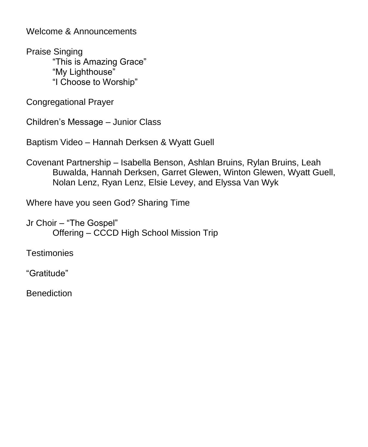Welcome & Announcements

Praise Singing "This is Amazing Grace" "My Lighthouse" "I Choose to Worship"

Congregational Prayer

Children's Message – Junior Class

Baptism Video – Hannah Derksen & Wyatt Guell

Covenant Partnership – Isabella Benson, Ashlan Bruins, Rylan Bruins, Leah Buwalda, Hannah Derksen, Garret Glewen, Winton Glewen, Wyatt Guell, Nolan Lenz, Ryan Lenz, Elsie Levey, and Elyssa Van Wyk

Where have you seen God? Sharing Time

Jr Choir – "The Gospel" Offering – CCCD High School Mission Trip

**Testimonies** 

"Gratitude"

**Benediction**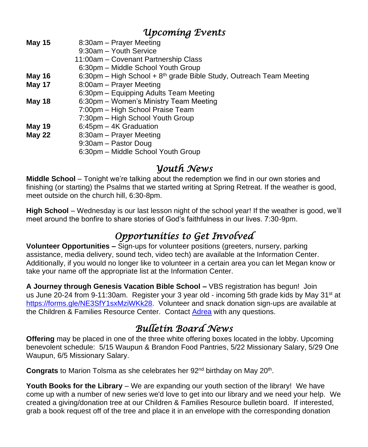### *Upcoming Events*

| <b>May 15</b> | 8:30am - Prayer Meeting                                               |
|---------------|-----------------------------------------------------------------------|
|               | 9:30am - Youth Service                                                |
|               | 11:00am - Covenant Partnership Class                                  |
|               | 6:30pm – Middle School Youth Group                                    |
| May 16        | 6:30pm – High School + $8th$ grade Bible Study, Outreach Team Meeting |
| May 17        | 8:00am - Prayer Meeting                                               |
|               | 6:30pm – Equipping Adults Team Meeting                                |
| <b>May 18</b> | 6:30pm – Women's Ministry Team Meeting                                |
|               | 7:00pm - High School Praise Team                                      |
|               | 7:30pm - High School Youth Group                                      |
| May 19        | 6:45pm – 4K Graduation                                                |
| <b>May 22</b> | 8:30am – Prayer Meeting                                               |
|               | 9:30am - Pastor Doug                                                  |
|               | 6:30pm - Middle School Youth Group                                    |
|               |                                                                       |

### *Youth News*

**Middle School** – Tonight we're talking about the redemption we find in our own stories and finishing (or starting) the Psalms that we started writing at Spring Retreat. If the weather is good, meet outside on the church hill, 6:30-8pm.

**High School** – Wednesday is our last lesson night of the school year! If the weather is good, we'll meet around the bonfire to share stories of God's faithfulness in our lives. 7:30-9pm.

# *Opportunities to Get Involved*

**Volunteer Opportunities –** Sign-ups for volunteer positions (greeters, nursery, parking assistance, media delivery, sound tech, video tech) are available at the Information Center. Additionally, if you would no longer like to volunteer in a certain area you can let Megan know or take your name off the appropriate list at the Information Center.

**A Journey through Genesis Vacation Bible School –** VBS registration has begun! Join us June 20-24 from 9-11:30am. Register your 3 year old - incoming 5th grade kids by May 31<sup>st</sup> at [https://forms.gle/NE3SfY1sxMziWKk28.](https://nam12.safelinks.protection.outlook.com/?url=https%3A%2F%2Fforms.gle%2FNE3SfY1sxMziWKk28&data=05%7C01%7C%7C0788ca9993c348dddb6a08da287e6224%7C84df9e7fe9f640afb435aaaaaaaaaaaa%7C1%7C0%7C637866820524786632%7CUnknown%7CTWFpbGZsb3d8eyJWIjoiMC4wLjAwMDAiLCJQIjoiV2luMzIiLCJBTiI6Ik1haWwiLCJXVCI6Mn0%3D%7C3000%7C%7C%7C&sdata=4R5wretttGAg20bIB87jeLZNIqY2V0VZ14rFZ7FgROg%3D&reserved=0) Volunteer and snack donation sign-ups are available at the Children & Families Resource Center. Contact [Adrea](mailto:adrea@altoreformedchurch.org) with any questions.

## *Bulletin Board News*

**Offering** may be placed in one of the three white offering boxes located in the lobby. Upcoming benevolent schedule: 5/15 Waupun & Brandon Food Pantries, 5/22 Missionary Salary, 5/29 One Waupun, 6/5 Missionary Salary.

Congrats to Marion Tolsma as she celebrates her 92<sup>nd</sup> birthday on May 20<sup>th</sup>.

**Youth Books for the Library** – We are expanding our youth section of the library! We have come up with a number of new series we'd love to get into our library and we need your help. We created a giving/donation tree at our Children & Families Resource bulletin board. If interested, grab a book request off of the tree and place it in an envelope with the corresponding donation